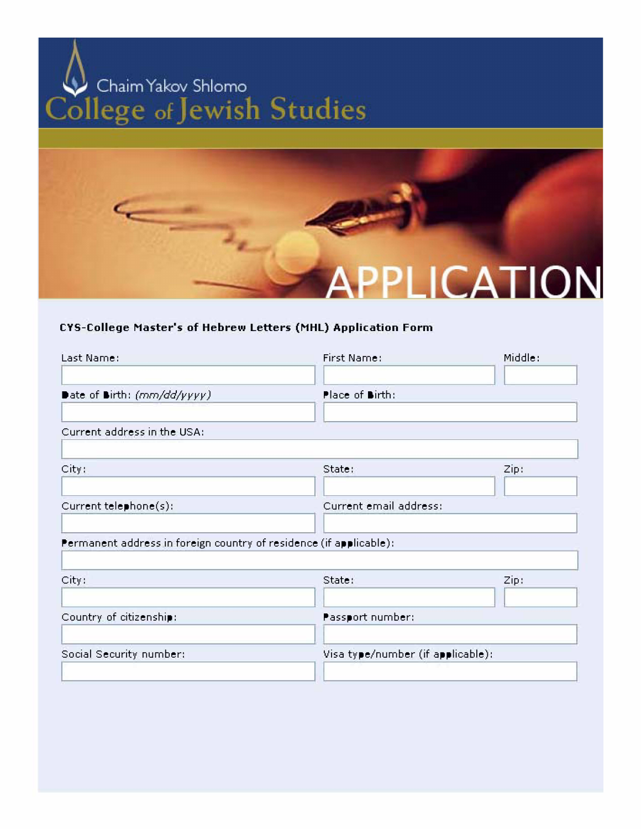



## **CVS-College Master's of Hebrew Letters (MHL) Application Form**

| Last Name:                                                         | First Name:                       | Middle: |
|--------------------------------------------------------------------|-----------------------------------|---------|
| Date of Birth: (mm/dd/yyyy)                                        | Place of Birth:                   |         |
| Current address in the USA:                                        |                                   |         |
| City:                                                              | State:                            | Zip:    |
| Current telephone(s):                                              | Current email address:            |         |
| Permanent address in foreign country of residence (if applicable): |                                   |         |
| City:                                                              | State:                            | Zip:    |
| Country of citizenship:                                            | Passport number:                  |         |
| Social Security number:                                            | Visa type/number (if applicable): |         |
|                                                                    |                                   |         |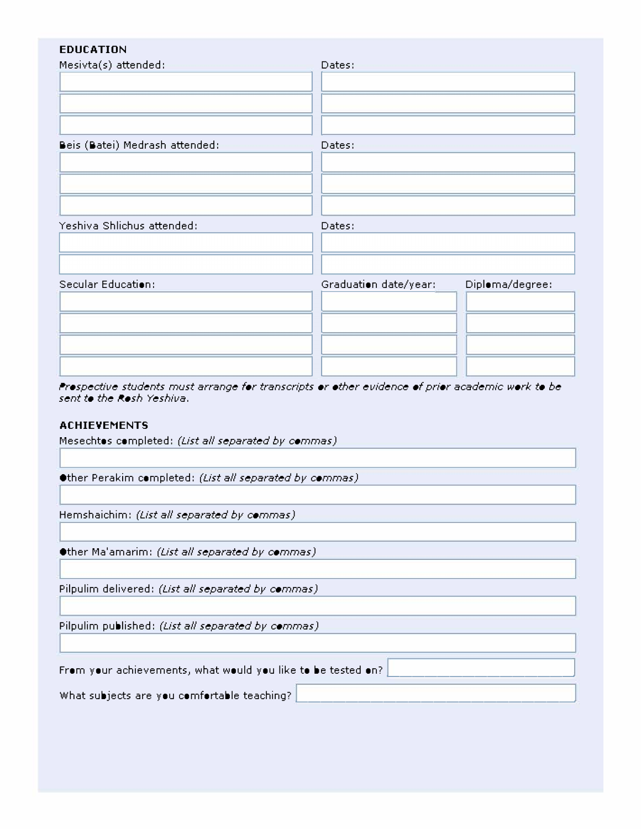| <b>EDUCATION</b>               |                                          |
|--------------------------------|------------------------------------------|
| Mesivta(s) attended:           | Dates:                                   |
| Beis (Batei) Medrash attended: | Dates:                                   |
| Yeshiva Shlichus attended:     | Dates:                                   |
| Secular Education:             | Diploma/degree:<br>Graduation date/year: |

Prespective students must arrange for transcripts or other evidence of prior academic work to be sent to the Rosh Yeshiva.

## **ACHIEVEMENTS**

Mesechtos completed: (List all separated by commas)

Other Perakim completed: (List all separated by commas)

Hemshaichim: (List all separated by commas)

Other Ma'amarim: (List all separated by commas)

Pilpulim delivered: (List all separated by commas)

Pilpulim published: (List all separated by commas).

From your achievements, what would you like to be tested on?

What subjects are you comfortable teaching?